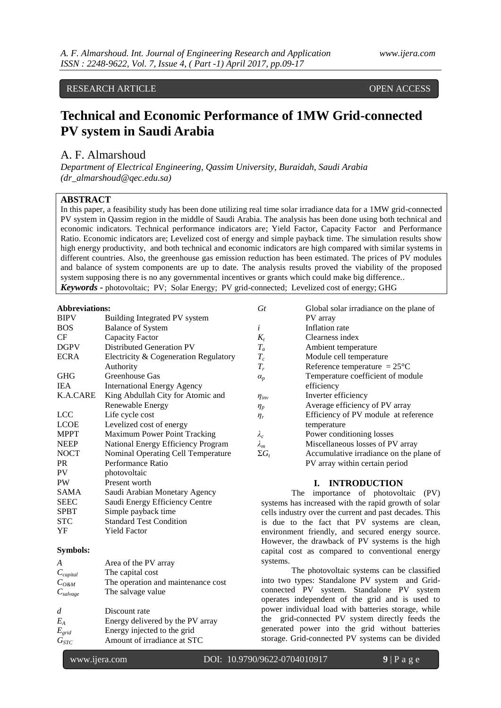## RESEARCH ARTICLE **OPEN ACCESS**

# **Technical and Economic Performance of 1MW Grid-connected PV system in Saudi Arabia**

## A. F. Almarshoud

*Department of Electrical Engineering, Qassim University, Buraidah, Saudi Arabia (dr\_almarshoud@qec.edu.sa)*

## **ABSTRACT**

In this paper, a feasibility study has been done utilizing real time solar irradiance data for a 1MW grid-connected PV system in Qassim region in the middle of Saudi Arabia. The analysis has been done using both technical and economic indicators. Technical performance indicators are; Yield Factor, Capacity Factor and Performance Ratio. Economic indicators are; Levelized cost of energy and simple payback time. The simulation results show high energy productivity, and both technical and economic indicators are high compared with similar systems in different countries. Also, the greenhouse gas emission reduction has been estimated. The prices of PV modules and balance of system components are up to date. The analysis results proved the viability of the proposed system supposing there is no any governmental incentives or grants which could make big difference.. *Keywords* **-** photovoltaic; PV; Solar Energy; PV grid-connected; Levelized cost of energy; GHG

#### **Abbreviations:**

| <b>BIPV</b> | Building Integrated PV system         |
|-------------|---------------------------------------|
| <b>BOS</b>  | <b>Balance of System</b>              |
| CF          | Capacity Factor                       |
| <b>DGPV</b> | <b>Distributed Generation PV</b>      |
| <b>ECRA</b> | Electricity & Cogeneration Regulatory |
|             | Authority                             |
| GHG         | Greenhouse Gas                        |
| <b>IEA</b>  | <b>International Energy Agency</b>    |
| K.A.CARE    | King Abdullah City for Atomic and     |
|             | Renewable Energy                      |
| <b>LCC</b>  | Life cycle cost                       |
| <b>LCOE</b> | Levelized cost of energy              |
| <b>MPPT</b> | Maximum Power Point Tracking          |
| <b>NEEP</b> | National Energy Efficiency Program    |
| <b>NOCT</b> | Nominal Operating Cell Temperature    |
| PR.         | Performance Ratio                     |
| PV          | photovoltaic                          |
| <b>PW</b>   | Present worth                         |
| <b>SAMA</b> | Saudi Arabian Monetary Agency         |
| <b>SEEC</b> | Saudi Energy Efficiency Centre        |
| <b>SPBT</b> | Simple payback time                   |
| <b>STC</b>  | <b>Standard Test Condition</b>        |
| YF          | <b>Yield Factor</b>                   |
|             |                                       |

## **Symbols:**

| A                      | Area of the PV array               |
|------------------------|------------------------------------|
| $C_{capital}$          | The capital cost                   |
| $C_{O\&M}$             | The operation and maintenance cost |
| $C_{\textit{salvage}}$ | The salvage value                  |
|                        |                                    |
| $\overline{d}$         | Discount rate                      |
| $E_A$                  | Energy delivered by the PV array   |
| $E_{grid}$             | Energy injected to the grid        |
| $G_{STC}$              | Amount of irradiance at STC        |
|                        |                                    |

| $G_t$                 | Global solar irradiance on the plane of |
|-----------------------|-----------------------------------------|
|                       | PV array                                |
| i                     | Inflation rate                          |
| $K_t$                 | Clearness index                         |
| $T_a$                 | Ambient temperature                     |
| $T_c$                 | Module cell temperature                 |
| $T_r$                 | Reference temperature = $25^{\circ}$ C  |
| $\alpha_p$            | Temperature coefficient of module       |
|                       | efficiency                              |
| $\eta_{\textit{inv}}$ | Inverter efficiency                     |
| $\eta_p$              | Average efficiency of PV array          |
| $\eta_r$              | Efficiency of PV module at reference    |
|                       | temperature                             |
| $\lambda_c$           | Power conditioning losses               |
| $\lambda_m$           | Miscellaneous losses of PV array        |
| $\Sigma G_i$          | Accumulative irradiance on the plane of |
|                       | PV array within certain period          |
|                       |                                         |

## **I. INTRODUCTION**

The importance of photovoltaic (PV) systems has increased with the rapid growth of solar cells industry over the current and past decades. This is due to the fact that PV systems are clean, environment friendly, and secured energy source. However, the drawback of PV systems is the high capital cost as compared to conventional energy systems.

The photovoltaic systems can be classified into two types: Standalone PV system and Gridconnected PV system. Standalone PV system operates independent of the grid and is used to power individual load with batteries storage, while the grid-connected PV system directly feeds the generated power into the grid without batteries storage. Grid-connected PV systems can be divided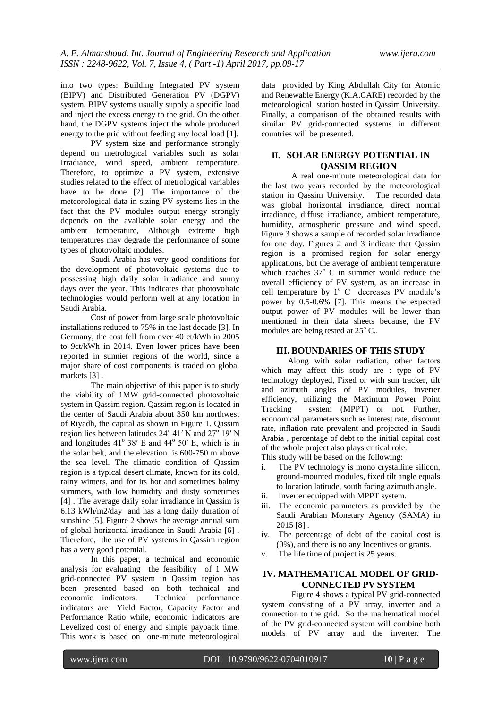into two types: Building Integrated PV system (BIPV) and Distributed Generation PV (DGPV) system. BIPV systems usually supply a specific load and inject the excess energy to the grid. On the other hand, the DGPV systems inject the whole produced energy to the grid without feeding any local load [1].

PV system size and performance strongly depend on metrological variables such as solar Irradiance, wind speed, ambient temperature. Therefore, to optimize a PV system, extensive studies related to the effect of metrological variables have to be done [2]. The importance of the meteorological data in sizing PV systems lies in the fact that the PV modules output energy strongly depends on the available solar energy and the ambient temperature, Although extreme high temperatures may degrade the performance of some types of photovoltaic modules.

Saudi Arabia has very good conditions for the development of photovoltaic systems due to possessing high daily solar irradiance and sunny days over the year. This indicates that photovoltaic technologies would perform well at any location in Saudi Arabia.

Cost of power from large scale photovoltaic installations reduced to 75% in the last decade [3]. In Germany, the cost fell from over 40 ct/kWh in 2005 to 9ct/kWh in 2014. Even lower prices have been reported in sunnier regions of the world, since a major share of cost components is traded on global markets [3] .

The main objective of this paper is to study the viability of 1MW grid-connected photovoltaic system in Qassim region. Qassim region is located in the center of Saudi Arabia about 350 km northwest of Riyadh, the capital as shown in Figure 1. Qassim region lies between latitudes  $24^{\circ}$  41' N and  $27^{\circ}$  19' N and longitudes  $41^\circ$  38' E and  $44^\circ$  50' E, which is in the solar belt, and the elevation is 600-750 m above the sea level. The climatic condition of Qassim region is a typical desert climate, known for its cold, rainy winters, and for its hot and sometimes balmy summers, with low humidity and dusty sometimes [4] . The average daily solar irradiance in Qassim is 6.13 kWh/m2/day and has a long daily duration of sunshine [5]. Figure 2 shows the average annual sum of global horizontal irradiance in Saudi Arabia [6] . Therefore, the use of PV systems in Qassim region has a very good potential.

In this paper, a technical and economic analysis for evaluating the feasibility of 1 MW grid-connected PV system in Qassim region has been presented based on both technical and<br>economic indicators. Technical performance Technical performance indicators are Yield Factor, Capacity Factor and Performance Ratio while, economic indicators are Levelized cost of energy and simple payback time. This work is based on one-minute meteorological

data provided by King Abdullah City for Atomic and Renewable Energy (K.A.CARE) recorded by the meteorological station hosted in Qassim University. Finally, a comparison of the obtained results with similar PV grid-connected systems in different countries will be presented.

## **II. SOLAR ENERGY POTENTIAL IN QASSIM REGION**

A real one-minute meteorological data for the last two years recorded by the meteorological station in Qassim University. The recorded data was global horizontal irradiance, direct normal irradiance, diffuse irradiance, ambient temperature, humidity, atmospheric pressure and wind speed. Figure 3 shows a sample of recorded solar irradiance for one day. Figures 2 and 3 indicate that Qassim region is a promised region for solar energy applications, but the average of ambient temperature which reaches  $37^\circ$  C in summer would reduce the overall efficiency of PV system, as an increase in cell temperature by  $1^{\circ}$  C decreases PV module's power by 0.5-0.6% [7]. This means the expected output power of PV modules will be lower than mentioned in their data sheets because, the PV modules are being tested at  $25^{\circ}$  C..

## **III. BOUNDARIES OF THIS STUDY**

Along with solar radiation, other factors which may affect this study are : type of PV technology deployed, Fixed or with sun tracker, tilt and azimuth angles of PV modules, inverter efficiency, utilizing the Maximum Power Point Tracking system (MPPT) or not. Further, economical parameters such as interest rate, discount rate, inflation rate prevalent and projected in Saudi Arabia , percentage of debt to the initial capital cost of the whole project also plays critical role.

- This study will be based on the following:
- i. The PV technology is mono crystalline silicon, ground-mounted modules, fixed tilt angle equals to location latitude, south facing azimuth angle.
- ii. Inverter equipped with MPPT system.
- iii. The economic parameters as provided by the Saudi Arabian Monetary Agency (SAMA) in 2015 [8] .
- iv. The percentage of debt of the capital cost is (0%), and there is no any Incentives or grants.
- v. The life time of project is 25 years..

## **IV. MATHEMATICAL MODEL OF GRID-CONNECTED PV SYSTEM**

Figure 4 shows a typical PV grid-connected system consisting of a PV array, inverter and a connection to the grid. So the mathematical model of the PV grid-connected system will combine both models of PV array and the inverter. The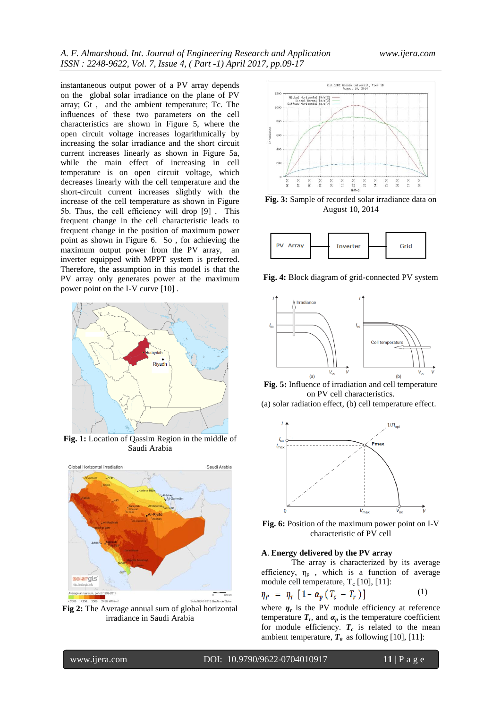instantaneous output power of a PV array depends on the global solar irradiance on the plane of PV array; Gt , and the ambient temperature; Tc. The influences of these two parameters on the cell characteristics are shown in Figure 5, where the open circuit voltage increases logarithmically by increasing the solar irradiance and the short circuit current increases linearly as shown in Figure 5a, while the main effect of increasing in cell temperature is on open circuit voltage, which decreases linearly with the cell temperature and the short-circuit current increases slightly with the increase of the cell temperature as shown in Figure 5b. Thus, the cell efficiency will drop [9] . This frequent change in the cell characteristic leads to frequent change in the position of maximum power point as shown in Figure 6. So , for achieving the maximum output power from the PV array, an inverter equipped with MPPT system is preferred. Therefore, the assumption in this model is that the PV array only generates power at the maximum power point on the I-V curve [10] .



**Fig. 1:** Location of Qassim Region in the middle of Saudi Arabia



**Fig 2:** The Average annual sum of global horizontal irradiance in Saudi Arabia



**Fig. 3:** Sample of recorded solar irradiance data on August 10, 2014



**Fig. 4:** Block diagram of grid-connected PV system



**Fig. 5:** Influence of irradiation and cell temperature on PV cell characteristics.

(a) solar radiation effect, (b) cell temperature effect.



**Fig. 6:** Position of the maximum power point on I-V characteristic of PV cell

#### **A**. **Energy delivered by the PV array**

The array is characterized by its average efficiency,  $\eta_p$ , which is a function of average module cell temperature,  $T_c$  [10], [11]:

$$
\eta_P = \eta_r \left[ 1 - \alpha_p \left( T_c - T_r \right) \right] \tag{1}
$$

where  $\eta_r$  is the PV module efficiency at reference temperature  $T_r$ , and  $\alpha_p$  is the temperature coefficient for module efficiency.  $T_c$  is related to the mean ambient temperature,  $\mathbf{\dot{T}}_a$  as following [10], [11]: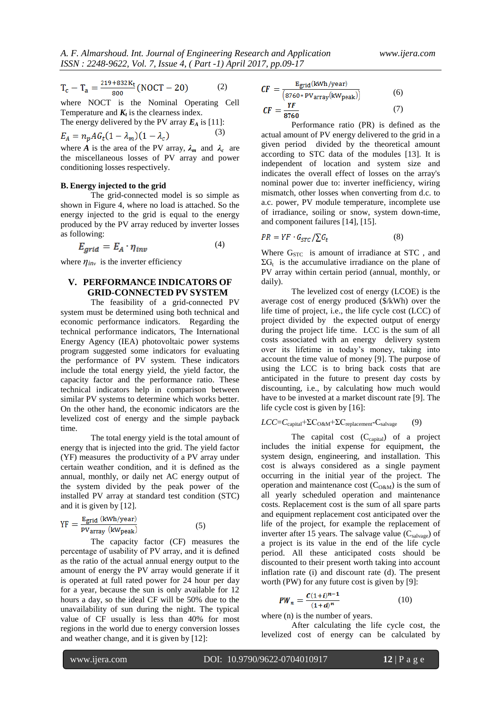$$
T_c - T_a = \frac{219 + 832K_t}{800} (NOCT - 20)
$$
 (2)

where NOCT is the Nominal Operating Cell Temperature and  $K_t$  is the clearness index.

The energy delivered by the PV array  $E_A$  is [11]:

$$
E_A = n_p A G_t (1 - \lambda_m)(1 - \lambda_c) \tag{3}
$$

where *A* is the area of the PV array,  $\lambda_m$  and  $\lambda_c$  are the miscellaneous losses of PV array and power conditioning losses respectively.

#### **B. Energy injected to the grid**

The grid-connected model is so simple as shown in Figure 4, where no load is attached. So the energy injected to the grid is equal to the energy produced by the PV array reduced by inverter losses as following:

$$
E_{grid} = E_A \cdot \eta_{inv} \tag{4}
$$

where  $\eta_{inv}$  is the inverter efficiency

## **V. PERFORMANCE INDICATORS OF GRID-CONNECTED PV SYSTEM**

The feasibility of a grid-connected PV system must be determined using both technical and economic performance indicators. Regarding the technical performance indicators, The International Energy Agency (IEA) photovoltaic power systems program suggested some indicators for evaluating the performance of PV system. These indicators include the total energy yield, the yield factor, the capacity factor and the performance ratio. These technical indicators help in comparison between similar PV systems to determine which works better. On the other hand, the economic indicators are the levelized cost of energy and the simple payback time.

The total energy yield is the total amount of energy that is injected into the grid. The yield factor (YF) measures the productivity of a PV array under certain weather condition, and it is defined as the annual, monthly, or daily net AC energy output of the system divided by the peak power of the installed PV array at standard test condition (STC) and it is given by [12].

$$
YF = \frac{E_{grid} (kWh/year)}{PV_{array} (kW_{peak})}
$$
 (5)

The capacity factor (CF) measures the percentage of usability of PV array, and it is defined as the ratio of the actual annual energy output to the amount of energy the PV array would generate if it is operated at full rated power for 24 hour per day for a year, because the sun is only available for 12 hours a day, so the ideal CF will be 50% due to the unavailability of sun during the night. The typical value of CF usually is less than 40% for most regions in the world due to energy conversion losses and weather change, and it is given by [12]:

$$
CF = \frac{E_{grid}(kWh/year)}{(8760 * PVarray(kWpeak))}
$$
(6)  

$$
CF = \frac{YF}{(2560)} \tag{7}
$$

Performance ratio (PR) is defined as the actual amount of PV energy delivered to the grid in a given period divided by the theoretical amount according to STC data of the modules [13]. It is independent of location and system size and indicates the overall effect of losses on the array's nominal power due to: inverter inefficiency, wiring mismatch, other losses when converting from d.c. to a.c. power, PV module temperature, incomplete use of irradiance, soiling or snow, system down-time, and component failures [14], [15].

$$
PR = YF \cdot G_{STC} / \sum G_t \tag{8}
$$

Where G<sub>STC</sub> is amount of irradiance at STC, and  $\Sigma G_t$  is the accumulative irradiance on the plane of PV array within certain period (annual, monthly, or daily).

The levelized cost of energy (LCOE) is the average cost of energy produced (\$/kWh) over the life time of project, i.e., the life cycle cost (LCC) of project divided by the expected output of energy during the project life time. LCC is the sum of all costs associated with an energy delivery system over its lifetime in today's money, taking into account the time value of money [9]. The purpose of using the LCC is to bring back costs that are anticipated in the future to present day costs by discounting, i.e., by calculating how much would have to be invested at a market discount rate [9]. The life cycle cost is given by [16]:

$$
LCC = C_{\text{capital}} + \Sigma C_{\text{O\&M}} + \Sigma C_{\text{replacement}} - C_{\text{salvage}} \tag{9}
$$

The capital cost  $(C_{\text{capital}})$  of a project includes the initial expense for equipment, the system design, engineering, and installation. This cost is always considered as a single payment occurring in the initial year of the project. The operation and maintenance cost  $(C_{O\&M})$  is the sum of all yearly scheduled operation and maintenance costs. Replacement cost is the sum of all spare parts and equipment replacement cost anticipated over the life of the project, for example the replacement of inverter after 15 years. The salvage value  $(C_{\text{salvage}})$  of a project is its value in the end of the life cycle period. All these anticipated costs should be discounted to their present worth taking into account inflation rate (i) and discount rate (d). The present worth (PW) for any future cost is given by [9]:

$$
PW_n = \frac{C(1+i)^{n-1}}{(1+d)^n} \tag{10}
$$

where  $(n)$  is the number of years.

After calculating the life cycle cost, the levelized cost of energy can be calculated by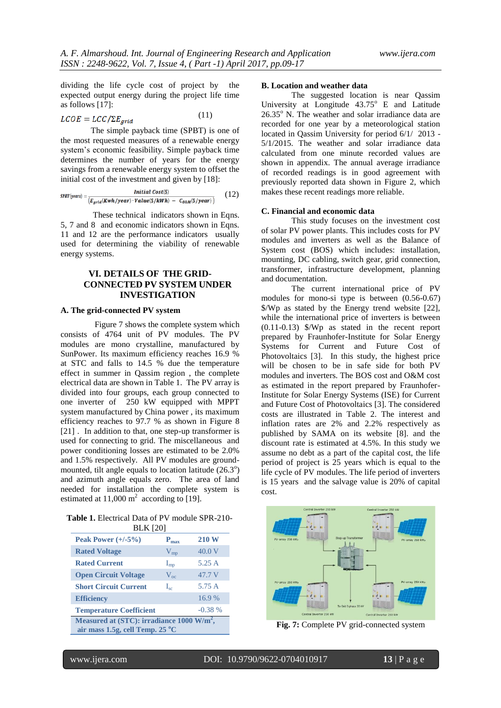dividing the life cycle cost of project by the expected output energy during the project life time as follows [17]:

$$
LCOE = LCC/\Sigma E_{grid} \tag{11}
$$

The simple payback time (SPBT) is one of the most requested measures of a renewable energy system's economic feasibility. Simple payback time determines the number of years for the energy savings from a renewable energy system to offset the initial cost of the investment and given by [18]:

$$
SPBT(years) = \frac{Initial Cost(\$)}{(E_{grid}(Kwh/year) \cdot Value(\$/kWh) - C_{0\&M}(\$/year))}
$$
 (12)

These technical indicators shown in Eqns. 5, 7 and 8 and economic indicators shown in Eqns. 11 and 12 are the performance indicators usually used for determining the viability of renewable energy systems.

## **VI. DETAILS OF THE GRID-CONNECTED PV SYSTEM UNDER INVESTIGATION**

## **A. The grid-connected PV system**

Figure 7 shows the complete system which consists of 4764 unit of PV modules. The PV modules are mono crystalline, manufactured by SunPower. Its maximum efficiency reaches 16.9 % at STC and falls to 14.5 % due the temperature effect in summer in Qassim region , the complete electrical data are shown in Table 1. The PV array is divided into four groups, each group connected to one inverter of 250 kW equipped with MPPT system manufactured by China power , its maximum efficiency reaches to 97.7 % as shown in Figure 8 [21]. In addition to that, one step-up transformer is used for connecting to grid. The miscellaneous and power conditioning losses are estimated to be 2.0% and 1.5% respectively. All PV modules are groundmounted, tilt angle equals to location latitude  $(26.3^{\circ})$ and azimuth angle equals zero. The area of land needed for installation the complete system is estimated at  $11,000 \text{ m}^2$  according to [19].

**Table 1.** Electrical Data of PV module SPR-210- BLK [20]

| Peak Power $(+/-5%)$                                                                     | $P_{\text{max}}$ | <b>210 W</b> |  |  |
|------------------------------------------------------------------------------------------|------------------|--------------|--|--|
| <b>Rated Voltage</b>                                                                     | $V_{mp}$         | 40.0V        |  |  |
| <b>Rated Current</b>                                                                     | $I_{mp}$         | 5.25A        |  |  |
| <b>Open Circuit Voltage</b>                                                              | $V_{\alpha c}$   | 47.7 V       |  |  |
| <b>Short Circuit Current</b>                                                             | $I_{\rm sc}$     | 5.75 A       |  |  |
| <b>Efficiency</b>                                                                        |                  | 16.9%        |  |  |
| <b>Temperature Coefficient</b><br>$-0.38\%$                                              |                  |              |  |  |
| Measured at (STC): irradiance 1000 W/m <sup>2</sup> ,<br>air mass 1.5g, cell Temp. 25 °C |                  |              |  |  |

#### **B. Location and weather data**

The suggested location is near Qassim University at Longitude  $43.75^{\circ}$  E and Latitude  $26.35^{\circ}$  N. The weather and solar irradiance data are recorded for one year by a meteorological station located in Qassim University for period 6/1/ 2013 - 5/1/2015. The weather and solar irradiance data calculated from one minute recorded values are shown in appendix. The annual average irradiance of recorded readings is in good agreement with previously reported data shown in Figure 2, which makes these recent readings more reliable.

### **C. Financial and economic data**

This study focuses on the investment cost of solar PV power plants. This includes costs for PV modules and inverters as well as the Balance of System cost (BOS) which includes: installation, mounting, DC cabling, switch gear, grid connection, transformer, infrastructure development, planning and documentation.

The current international price of PV modules for mono-si type is between (0.56-0.67) \$/Wp as stated by the Energy trend website [22], while the international price of inverters is between (0.11-0.13) \$/Wp as stated in the recent report prepared by Fraunhofer-Institute for Solar Energy Systems for Current and Future Cost of Photovoltaics [3]. In this study, the highest price will be chosen to be in safe side for both PV modules and inverters. The BOS cost and O&M cost as estimated in the report prepared by Fraunhofer-Institute for Solar Energy Systems (ISE) for Current and Future Cost of Photovoltaics [3]. The considered costs are illustrated in Table 2. The interest and inflation rates are 2% and 2.2% respectively as published by SAMA on its website [8]. and the discount rate is estimated at 4.5%. In this study we assume no debt as a part of the capital cost, the life period of project is 25 years which is equal to the life cycle of PV modules. The life period of inverters is 15 years and the salvage value is 20% of capital cost.



**Fig. 7:** Complete PV grid-connected system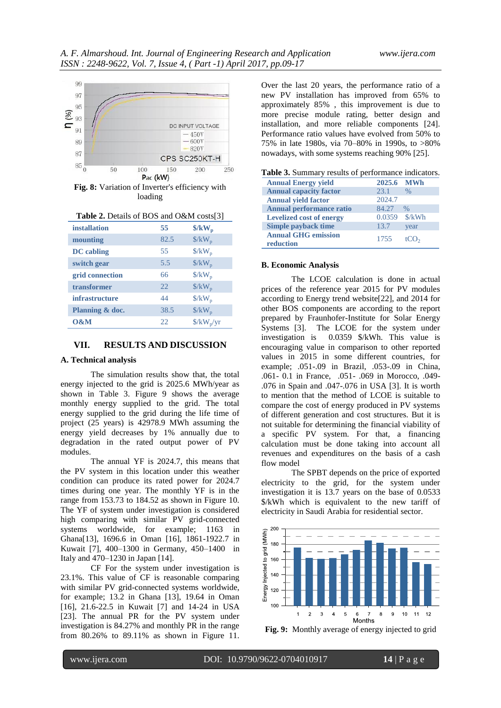

**Fig. 8:** Variation of Inverter's efficiency with loading

| <b>installation</b>   | 55   | $\frac{K}{W_p}$                        |
|-----------------------|------|----------------------------------------|
| mounting              | 82.5 | $\frac{K}{W_p}$                        |
| <b>DC</b> cabling     | 55   | $\frac{\text{K}}{\text{K}}$            |
| switch gear           | 5.5  | $\frac{K}{W_p}$                        |
| grid connection       | 66   | $\frac{K}{W_p}$                        |
| transformer           | 22.  | $\frac{K}{W_p}$                        |
| <i>infrastructure</i> | 44   | $\frac{\text{K}}{\text{W}}_{\text{D}}$ |
| Planning & doc.       | 38.5 | $\frac{\text{K}}{\text{K}}$            |
| 0&M                   | 22.  | $\frac{\text{g}}{\text{w}}$            |

## **VII. RESULTS AND DISCUSSION**

#### **A. Technical analysis**

The simulation results show that, the total energy injected to the grid is 2025.6 MWh/year as shown in Table 3. Figure 9 shows the average monthly energy supplied to the grid. The total energy supplied to the grid during the life time of project (25 years) is 42978.9 MWh assuming the energy yield decreases by 1% annually due to degradation in the rated output power of PV modules.

The annual YF is 2024.7, this means that the PV system in this location under this weather condition can produce its rated power for 2024.7 times during one year. The monthly YF is in the range from 153.73 to 184.52 as shown in Figure 10. The YF of system under investigation is considered high comparing with similar PV grid-connected systems worldwide, for example; 1163 in Ghana[13], 1696.6 in Oman [16], 1861-1922.7 in Kuwait [7], 400–1300 in Germany, 450–1400 in Italy and 470–1230 in Japan [14].

CF For the system under investigation is 23.1%. This value of CF is reasonable comparing with similar PV grid-connected systems worldwide, for example; 13.2 in Ghana [13], 19.64 in Oman [16], 21.6-22.5 in Kuwait [7] and 14-24 in USA [23]. The annual PR for the PV system under investigation is 84.27% and monthly PR in the range from 80.26% to 89.11% as shown in Figure 11.

Over the last 20 years, the performance ratio of a new PV installation has improved from 65% to approximately 85% , this improvement is due to more precise module rating, better design and installation, and more reliable components [24]. Performance ratio values have evolved from 50% to 75% in late 1980s, via 70–80% in 1990s, to >80% nowadays, with some systems reaching 90% [25].

| <b>Annual Energy yield</b>              | 2025.6 MWh |                  |
|-----------------------------------------|------------|------------------|
| <b>Annual capacity factor</b>           | 23.1       | $\%$             |
| <b>Annual yield factor</b>              | 2024.7     |                  |
| <b>Annual performance ratio</b>         | 84.27      | $\%$             |
| <b>Levelized cost of energy</b>         | 0.0359     | \$/kWh           |
| Simple payback time                     | 13.7       | year             |
| <b>Annual GHG emission</b><br>reduction | 1755       | tCO <sub>2</sub> |

#### **B. Economic Analysis**

The LCOE calculation is done in actual prices of the reference year 2015 for PV modules according to Energy trend website[22], and 2014 for other BOS components are according to the report prepared by Fraunhofer-Institute for Solar Energy Systems [3]. The LCOE for the system under investigation is 0.0359 \$/kWh. This value is encouraging value in comparison to other reported values in 2015 in some different countries, for example; .051-.09 in Brazil, .053-.09 in China, .061- 0.1 in France, .051- .069 in Morocco, .049- .076 in Spain and .047-.076 in USA [3]. It is worth to mention that the method of LCOE is suitable to compare the cost of energy produced in PV systems of different generation and cost structures. But it is not suitable for determining the financial viability of a specific PV system. For that, a financing calculation must be done taking into account all revenues and expenditures on the basis of a cash flow model

The SPBT depends on the price of exported electricity to the grid, for the system under investigation it is 13.7 years on the base of 0.0533 \$/kWh which is equivalent to the new tariff of electricity in Saudi Arabia for residential sector.



**Fig. 9:** Monthly average of energy injected to grid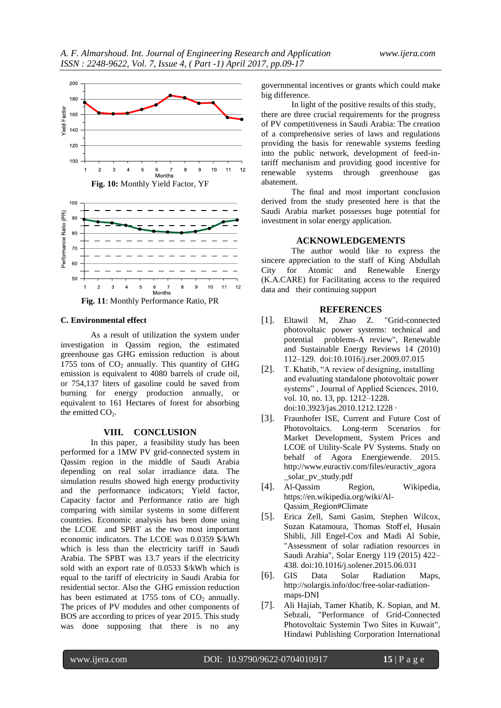

6 Months **Fig. 11**: Monthly Performance Ratio, PR

 $\overline{7}$ 

8 9 10  $11$  $12$ 

5

 $\overline{4}$ 

#### **C. Environmental effect**

-2

3

As a result of utilization the system under investigation in Qassim region, the estimated greenhouse gas GHG emission reduction is about 1755 tons of  $CO<sub>2</sub>$  annually. This quantity of GHG emission is equivalent to 4080 barrels of crude oil, or 754,137 liters of gasoline could be saved from burning for energy production annually, or equivalent to 161 Hectares of forest for absorbing the emitted  $CO<sub>2</sub>$ .

#### **VIII. CONCLUSION**

In this paper, a feasibility study has been performed for a 1MW PV grid-connected system in Qassim region in the middle of Saudi Arabia depending on real solar irradiance data. The simulation results showed high energy productivity and the performance indicators; Yield factor, Capacity factor and Performance ratio are high comparing with similar systems in some different countries. Economic analysis has been done using the LCOE and SPBT as the two most important economic indicators. The LCOE was 0.0359 \$/kWh which is less than the electricity tariff in Saudi Arabia. The SPBT was 13.7 years if the electricity sold with an export rate of 0.0533 \$/kWh which is equal to the tariff of electricity in Saudi Arabia for residential sector. Also the GHG emission reduction has been estimated at 1755 tons of  $CO<sub>2</sub>$  annually. The prices of PV modules and other components of BOS are according to prices of year 2015. This study was done supposing that there is no any

governmental incentives or grants which could make big difference.

In light of the positive results of this study, there are three crucial requirements for the progress of PV competitiveness in Saudi Arabia: The creation of a comprehensive series of laws and regulations providing the basis for renewable systems feeding into the public network, development of feed-intariff mechanism and providing good incentive for renewable systems through greenhouse gas abatement.

The final and most important conclusion derived from the study presented here is that the Saudi Arabia market possesses huge potential for investment in solar energy application.

### **ACKNOWLEDGEMENTS**

The author would like to express the sincere appreciation to the staff of King Abdullah City for Atomic and Renewable Energy (K.A.CARE) for Facilitating access to the required data and their continuing support

#### **REFERENCES**

- [1]. Eltawil M, Zhao Z. "Grid-connected photovoltaic power systems: technical and potential problems-A review", Renewable and Sustainable Energy Reviews 14 (2010) 112–129. doi:10.1016/j.rser.2009.07.015
- [2]. T. Khatib, "A review of designing, installing and evaluating standalone photovoltaic power systems" , Journal of Applied Sciences, 2010, vol. 10, no. 13, pp. 1212–1228. doi:10.3923/jas.2010.1212.1228 ·
- [3]. Fraunhofer ISE, Current and Future Cost of Photovoltaics. Long-term Scenarios for Market Development, System Prices and LCOE of Utility-Scale PV Systems. Study on behalf of Agora Energiewende. 2015. http://www.euractiv.com/files/euractiv\_agora \_solar\_pv\_study.pdf
- [4]. Al-Qassim Region, Wikipedia, https://en.wikipedia.org/wiki/Al-Qassim\_Region#Climate
- [5]. Erica Zell, Sami Gasim, Stephen Wilcox, Suzan Katamoura, Thomas Stoff el, Husain Shibli, Jill Engel-Cox and Madi Al Subie, "Assessment of solar radiation resources in Saudi Arabia", Solar Energy 119 (2015) 422– 438. doi:10.1016/j.solener.2015.06.031
- [6]. GIS Data Solar Radiation Maps, http://solargis.info/doc/free-solar-radiationmaps-DNI
- [7]. Ali Hajiah, Tamer Khatib, K. Sopian, and M. Sebzali, "Performance of Grid-Connected Photovoltaic Systemin Two Sites in Kuwait", Hindawi Publishing Corporation International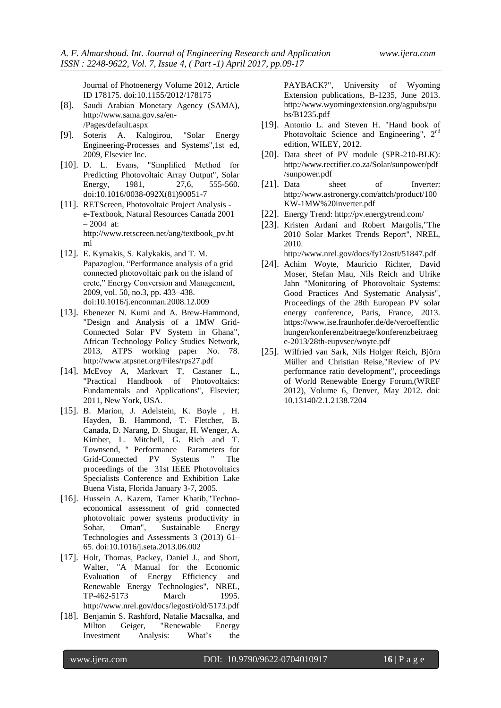Journal of Photoenergy Volume 2012, Article ID 178175. doi:10.1155/2012/178175

- [8]. Saudi Arabian Monetary Agency (SAMA), http://www.sama.gov.sa/en- /Pages/default.aspx
- [9]. Soteris A. Kalogirou, "Solar Energy Engineering-Processes and Systems",1st ed, 2009, Elsevier Inc.
- [10]. D. L. Evans, "Simplified Method for Predicting Photovoltaic Array Output", Solar Energy, 1981, 27,6, 555-560. doi:10.1016/0038-092X(81)90051-7
- [11]. RETScreen, Photovoltaic Project Analysis e-Textbook, Natural Resources Canada 2001 – 2004 at: http://www.retscreen.net/ang/textbook\_pv.ht ml
- [12]. E. Kymakis, S. Kalykakis, and T. M. Papazoglou, "Performance analysis of a grid connected photovoltaic park on the island of crete," Energy Conversion and Management, 2009, vol. 50, no.3, pp. 433–438. doi:10.1016/j.enconman.2008.12.009
- [13]. Ebenezer N. Kumi and A. Brew-Hammond, "Design and Analysis of a 1MW Grid-Connected Solar PV System in Ghana", African Technology Policy Studies Network, 2013, ATPS working paper No. 78. http://www.atpsnet.org/Files/rps27.pdf
- [14]. McEvoy A, Markvart T, Castaner L., "Practical Handbook of Photovoltaics: Fundamentals and Applications", Elsevier; 2011, New York, USA.
- [15]. B. Marion, J. Adelstein, K. Boyle , H. Hayden, B. Hammond, T. Fletcher, B. Canada, D. Narang, D. Shugar, H. Wenger, A. Kimber, L. Mitchell, G. Rich and T. Townsend, " Performance Parameters for Grid-Connected PV Systems " The proceedings of the 31st IEEE Photovoltaics Specialists Conference and Exhibition Lake Buena Vista, Florida January 3-7, 2005.
- [16]. Hussein A. Kazem, Tamer Khatib,"Technoeconomical assessment of grid connected photovoltaic power systems productivity in Sohar, Oman", Sustainable Energy Technologies and Assessments 3 (2013) 61– 65. doi:10.1016/j.seta.2013.06.002
- [17]. Holt, Thomas, Packey, Daniel J., and Short, Walter, "A Manual for the Economic Evaluation of Energy Efficiency and Renewable Energy Technologies", NREL, TP-462-5173 March 1995. http://www.nrel.gov/docs/legosti/old/5173.pdf
- [18]. Benjamin S. Rashford, Natalie Macsalka, and Milton Geiger, "Renewable Energy Investment Analysis: What's the

PAYBACK?", University of Wyoming Extension publications, B-1235, June 2013. http://www.wyomingextension.org/agpubs/pu bs/B1235.pdf

- [19]. Antonio L. and Steven H. "Hand book of Photovoltaic Science and Engineering", 2<sup>nd</sup> edition, WILEY, 2012.
- [20]. Data sheet of PV module (SPR-210-BLK): http://www.rectifier.co.za/Solar/sunpower/pdf /sunpower.pdf
- [21]. Data sheet of Inverter: http://www.astronergy.com/attch/product/100 KW-1MW%20inverter.pdf
- [22]. Energy Trend: http://pv.energytrend.com/
- [23]. Kristen Ardani and Robert Margolis,"The 2010 Solar Market Trends Report", NREL, 2010.

http://www.nrel.gov/docs/fy12osti/51847.pdf

- [24]. Achim Woyte, Mauricio Richter, David Moser, Stefan Mau, Nils Reich and Ulrike Jahn "Monitoring of Photovoltaic Systems: Good Practices And Systematic Analysis", Proceedings of the 28th European PV solar energy conference, Paris, France, 2013. https://www.ise.fraunhofer.de/de/veroeffentlic hungen/konferenzbeitraege/konferenzbeitraeg e-2013/28th-eupvsec/woyte.pdf
- [25]. Wilfried van Sark, Nils Holger Reich, Björn Müller and Christian Reise,"Review of PV performance ratio development", proceedings of World Renewable Energy Forum,(WREF 2012), Volume 6, Denver, May 2012. doi: 10.13140/2.1.2138.7204